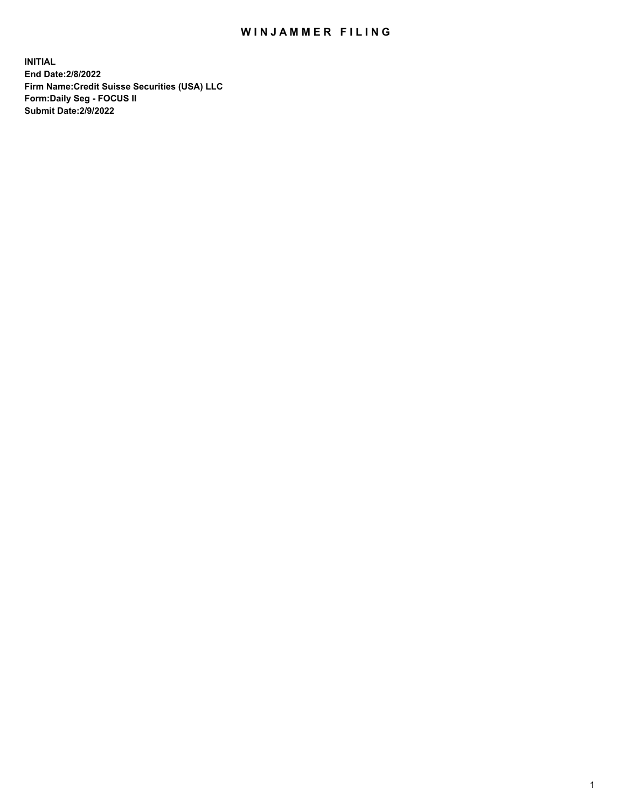# WIN JAMMER FILING

**INITIAL End Date:2/8/2022 Firm Name:Credit Suisse Securities (USA) LLC Form:Daily Seg - FOCUS II Submit Date:2/9/2022**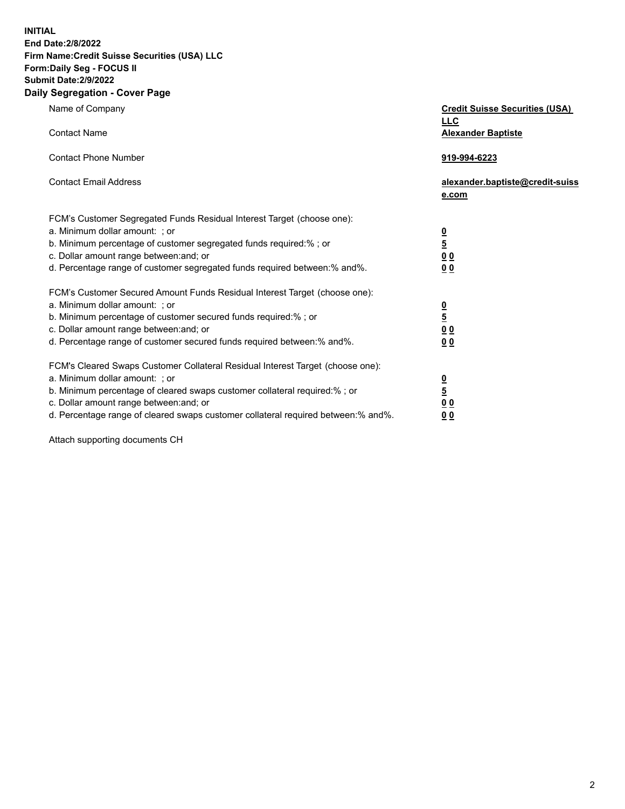**INITIAL** 

### **End Date:2/8/2022 Firm Name:Credit Suisse Securities (USA) LLC Form:Daily Seg - FOCUS II**

## **Submit Date:2/9/2022**

### **Daily Segregation - Cover Page**

| Name of Company                                                                                              | <b>Credit Suisse Securities (USA)</b><br><b>LLC</b> |
|--------------------------------------------------------------------------------------------------------------|-----------------------------------------------------|
| <b>Contact Name</b>                                                                                          | <b>Alexander Baptiste</b>                           |
| <b>Contact Phone Number</b>                                                                                  | 919-994-6223                                        |
| <b>Contact Email Address</b>                                                                                 | alexander.baptiste@credit-suiss<br>e.com            |
| FCM's Customer Segregated Funds Residual Interest Target (choose one):                                       |                                                     |
| a. Minimum dollar amount: ; or                                                                               |                                                     |
| b. Minimum percentage of customer segregated funds required:% ; or                                           | $\frac{\frac{0}{5}}{\frac{0}{0}}$                   |
| c. Dollar amount range between: and; or                                                                      |                                                     |
| d. Percentage range of customer segregated funds required between:% and%.                                    | 0 <sub>0</sub>                                      |
| FCM's Customer Secured Amount Funds Residual Interest Target (choose one):                                   |                                                     |
| a. Minimum dollar amount: ; or                                                                               | $\frac{0}{5}$                                       |
| b. Minimum percentage of customer secured funds required:%; or                                               |                                                     |
| c. Dollar amount range between: and; or                                                                      | 0 <sub>0</sub>                                      |
| d. Percentage range of customer secured funds required between: % and %.                                     | 0 <sub>0</sub>                                      |
| FCM's Cleared Swaps Customer Collateral Residual Interest Target (choose one):                               |                                                     |
| a. Minimum dollar amount: ; or<br>b. Minimum percentage of cleared swaps customer collateral required:% ; or | $\frac{0}{5}$                                       |
| c. Dollar amount range between: and; or                                                                      | 0 <sub>0</sub>                                      |
| d. Percentage range of cleared swaps customer collateral required between:% and%.                            | 0 <sub>0</sub>                                      |
|                                                                                                              |                                                     |

Attach supporting documents CH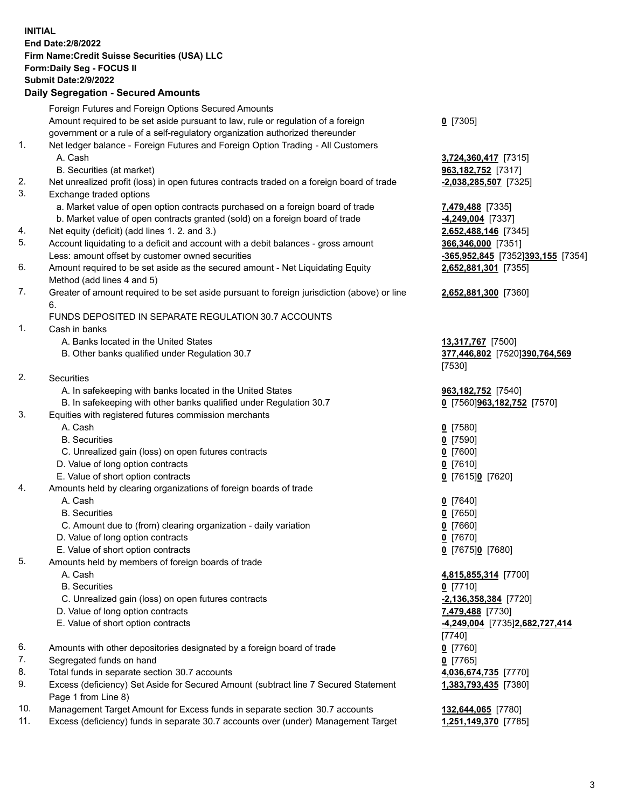**INITIAL End Date:2/8/2022 Firm Name:Credit Suisse Securities (USA) LLC Form:Daily Seg - FOCUS II Submit Date:2/9/2022** 

### **Daily Segregation - Secured Amounts**

|     | Foreign Futures and Foreign Options Secured Amounts                                                        |                                       |
|-----|------------------------------------------------------------------------------------------------------------|---------------------------------------|
|     | Amount required to be set aside pursuant to law, rule or regulation of a foreign                           | $Q$ [7305]                            |
|     | government or a rule of a self-regulatory organization authorized thereunder                               |                                       |
| 1.  | Net ledger balance - Foreign Futures and Foreign Option Trading - All Customers                            |                                       |
|     | A. Cash                                                                                                    | 3,724,360,417 [7315]                  |
|     | B. Securities (at market)                                                                                  | 963,182,752 [7317]                    |
| 2.  | Net unrealized profit (loss) in open futures contracts traded on a foreign board of trade                  | $-2,038,285,507$ [7325]               |
| 3.  | Exchange traded options                                                                                    |                                       |
|     | a. Market value of open option contracts purchased on a foreign board of trade                             | 7,479,488 [7335]                      |
|     | b. Market value of open contracts granted (sold) on a foreign board of trade                               | $-4,249,004$ [7337]                   |
| 4.  | Net equity (deficit) (add lines 1. 2. and 3.)                                                              | 2,652,488,146 [7345]                  |
| 5.  | Account liquidating to a deficit and account with a debit balances - gross amount                          | 366,346,000 [7351]                    |
|     | Less: amount offset by customer owned securities                                                           | -365,952,845 [7352]393,155 [7354]     |
| 6.  | Amount required to be set aside as the secured amount - Net Liquidating Equity                             | 2,652,881,301 [7355]                  |
|     | Method (add lines 4 and 5)                                                                                 |                                       |
| 7.  | Greater of amount required to be set aside pursuant to foreign jurisdiction (above) or line                | 2,652,881,300 [7360]                  |
|     | 6.                                                                                                         |                                       |
|     | FUNDS DEPOSITED IN SEPARATE REGULATION 30.7 ACCOUNTS                                                       |                                       |
| 1.  | Cash in banks                                                                                              |                                       |
|     | A. Banks located in the United States                                                                      | 13,317,767 [7500]                     |
|     | B. Other banks qualified under Regulation 30.7                                                             | 377,446,802 [7520]390,764,569         |
|     |                                                                                                            | [7530]                                |
| 2.  | Securities                                                                                                 |                                       |
|     | A. In safekeeping with banks located in the United States                                                  | 963, 182, 752 [7540]                  |
|     | B. In safekeeping with other banks qualified under Regulation 30.7                                         | 0 [7560]963,182,752 [7570]            |
| 3.  | Equities with registered futures commission merchants                                                      |                                       |
|     | A. Cash                                                                                                    | $0$ [7580]                            |
|     | <b>B.</b> Securities                                                                                       | $0$ [7590]                            |
|     | C. Unrealized gain (loss) on open futures contracts                                                        | $Q$ [7600]                            |
|     | D. Value of long option contracts                                                                          | $0$ [7610]                            |
|     | E. Value of short option contracts                                                                         | 0 [7615]0 [7620]                      |
| 4.  | Amounts held by clearing organizations of foreign boards of trade                                          |                                       |
|     | A. Cash                                                                                                    | $0$ [7640]                            |
|     | <b>B.</b> Securities                                                                                       | $Q$ [7650]                            |
|     | C. Amount due to (from) clearing organization - daily variation                                            | $0$ [7660]                            |
|     | D. Value of long option contracts                                                                          | $0$ [7670]                            |
|     | E. Value of short option contracts                                                                         | 0 [7675]0 [7680]                      |
| 5.  | Amounts held by members of foreign boards of trade                                                         |                                       |
|     | A. Cash                                                                                                    | 4,815,855,314 [7700]                  |
|     | <b>B.</b> Securities                                                                                       | $0$ [7710]                            |
|     | C. Unrealized gain (loss) on open futures contracts                                                        | $-2,136,358,384$ [7720]               |
|     | D. Value of long option contracts                                                                          | 7,479,488 [7730]                      |
|     | E. Value of short option contracts                                                                         | <u>-4,249,004</u> [7735]2,682,727,414 |
|     |                                                                                                            | $[7740]$                              |
| 6.  | Amounts with other depositories designated by a foreign board of trade                                     | $0$ [7760]                            |
| 7.  | Segregated funds on hand                                                                                   | $0$ [7765]                            |
| 8.  | Total funds in separate section 30.7 accounts                                                              | 4,036,674,735 [7770]                  |
| 9.  | Excess (deficiency) Set Aside for Secured Amount (subtract line 7 Secured Statement<br>Page 1 from Line 8) | 1,383,793,435 [7380]                  |
| 10. | Management Target Amount for Excess funds in separate section 30.7 accounts                                | 132,644,065 [7780]                    |
| 11. | Excess (deficiency) funds in separate 30.7 accounts over (under) Management Target                         | 1,251,149,370 [7785]                  |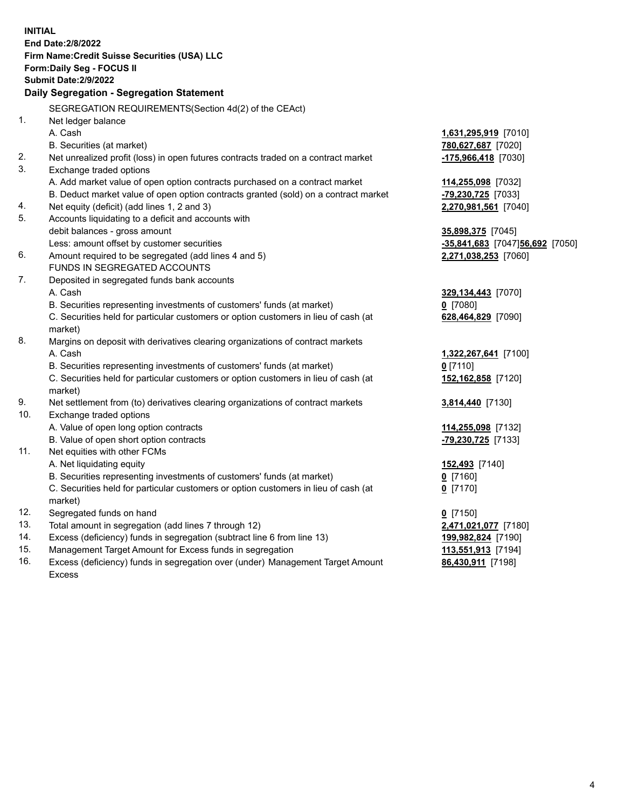| SEGREGATION REQUIREMENTS(Section 4d(2) of the CEAct)<br>1.<br>Net ledger balance<br>A. Cash<br>1,631,295,919 [7010]<br>B. Securities (at market)<br>780,627,687 [7020]<br>2.<br>Net unrealized profit (loss) in open futures contracts traded on a contract market<br>-175,966,418 [7030]<br>3.<br>Exchange traded options<br>A. Add market value of open option contracts purchased on a contract market<br>114,255,098 [7032]<br>B. Deduct market value of open option contracts granted (sold) on a contract market<br>-79,230,725 [7033]<br>Net equity (deficit) (add lines 1, 2 and 3)<br>2,270,981,561 [7040]<br>4.<br>5.<br>Accounts liquidating to a deficit and accounts with<br>debit balances - gross amount<br>35,898,375 [7045]<br>Less: amount offset by customer securities<br>-35,841,683 [7047]56,692 [7050]<br>Amount required to be segregated (add lines 4 and 5)<br>6.<br>2,271,038,253 [7060]<br>FUNDS IN SEGREGATED ACCOUNTS<br>7.<br>Deposited in segregated funds bank accounts<br>A. Cash<br>329,134,443 [7070]<br>B. Securities representing investments of customers' funds (at market)<br>$0$ [7080]<br>C. Securities held for particular customers or option customers in lieu of cash (at<br>628,464,829 [7090]<br>market)<br>8.<br>Margins on deposit with derivatives clearing organizations of contract markets<br>A. Cash<br>1,322,267,641 [7100]<br>B. Securities representing investments of customers' funds (at market)<br>$0$ [7110]<br>C. Securities held for particular customers or option customers in lieu of cash (at<br>152, 162, 858 [7120]<br>market)<br>9.<br>Net settlement from (to) derivatives clearing organizations of contract markets<br>3,814,440 [7130]<br>10.<br>Exchange traded options<br>A. Value of open long option contracts<br>114,255,098 [7132]<br>B. Value of open short option contracts<br>-79,230,725 [7133]<br>11.<br>Net equities with other FCMs<br>A. Net liquidating equity<br>152,493 [7140]<br>B. Securities representing investments of customers' funds (at market)<br>$Q$ [7160]<br>C. Securities held for particular customers or option customers in lieu of cash (at<br>$0$ [7170]<br>market)<br>12.<br>Segregated funds on hand<br>$0$ [7150]<br>13.<br>Total amount in segregation (add lines 7 through 12)<br>2,471,021,077 [7180]<br>14.<br>Excess (deficiency) funds in segregation (subtract line 6 from line 13)<br>199,982,824 [7190]<br>15.<br>Management Target Amount for Excess funds in segregation<br>113,551,913 [7194]<br>16.<br>Excess (deficiency) funds in segregation over (under) Management Target Amount<br>86,430,911 [7198]<br><b>Excess</b> | <b>INITIAL</b> | <b>End Date: 2/8/2022</b><br>Firm Name: Credit Suisse Securities (USA) LLC<br>Form: Daily Seg - FOCUS II<br><b>Submit Date:2/9/2022</b><br>Daily Segregation - Segregation Statement |  |
|--------------------------------------------------------------------------------------------------------------------------------------------------------------------------------------------------------------------------------------------------------------------------------------------------------------------------------------------------------------------------------------------------------------------------------------------------------------------------------------------------------------------------------------------------------------------------------------------------------------------------------------------------------------------------------------------------------------------------------------------------------------------------------------------------------------------------------------------------------------------------------------------------------------------------------------------------------------------------------------------------------------------------------------------------------------------------------------------------------------------------------------------------------------------------------------------------------------------------------------------------------------------------------------------------------------------------------------------------------------------------------------------------------------------------------------------------------------------------------------------------------------------------------------------------------------------------------------------------------------------------------------------------------------------------------------------------------------------------------------------------------------------------------------------------------------------------------------------------------------------------------------------------------------------------------------------------------------------------------------------------------------------------------------------------------------------------------------------------------------------------------------------------------------------------------------------------------------------------------------------------------------------------------------------------------------------------------------------------------------------------------------------------------------------------------------------------------------------------------------------------------------------------------------------------------------------------------------------------------------------------------------------------------------|----------------|--------------------------------------------------------------------------------------------------------------------------------------------------------------------------------------|--|
|                                                                                                                                                                                                                                                                                                                                                                                                                                                                                                                                                                                                                                                                                                                                                                                                                                                                                                                                                                                                                                                                                                                                                                                                                                                                                                                                                                                                                                                                                                                                                                                                                                                                                                                                                                                                                                                                                                                                                                                                                                                                                                                                                                                                                                                                                                                                                                                                                                                                                                                                                                                                                                                              |                |                                                                                                                                                                                      |  |
|                                                                                                                                                                                                                                                                                                                                                                                                                                                                                                                                                                                                                                                                                                                                                                                                                                                                                                                                                                                                                                                                                                                                                                                                                                                                                                                                                                                                                                                                                                                                                                                                                                                                                                                                                                                                                                                                                                                                                                                                                                                                                                                                                                                                                                                                                                                                                                                                                                                                                                                                                                                                                                                              |                |                                                                                                                                                                                      |  |
|                                                                                                                                                                                                                                                                                                                                                                                                                                                                                                                                                                                                                                                                                                                                                                                                                                                                                                                                                                                                                                                                                                                                                                                                                                                                                                                                                                                                                                                                                                                                                                                                                                                                                                                                                                                                                                                                                                                                                                                                                                                                                                                                                                                                                                                                                                                                                                                                                                                                                                                                                                                                                                                              |                |                                                                                                                                                                                      |  |
|                                                                                                                                                                                                                                                                                                                                                                                                                                                                                                                                                                                                                                                                                                                                                                                                                                                                                                                                                                                                                                                                                                                                                                                                                                                                                                                                                                                                                                                                                                                                                                                                                                                                                                                                                                                                                                                                                                                                                                                                                                                                                                                                                                                                                                                                                                                                                                                                                                                                                                                                                                                                                                                              |                |                                                                                                                                                                                      |  |
|                                                                                                                                                                                                                                                                                                                                                                                                                                                                                                                                                                                                                                                                                                                                                                                                                                                                                                                                                                                                                                                                                                                                                                                                                                                                                                                                                                                                                                                                                                                                                                                                                                                                                                                                                                                                                                                                                                                                                                                                                                                                                                                                                                                                                                                                                                                                                                                                                                                                                                                                                                                                                                                              |                |                                                                                                                                                                                      |  |
|                                                                                                                                                                                                                                                                                                                                                                                                                                                                                                                                                                                                                                                                                                                                                                                                                                                                                                                                                                                                                                                                                                                                                                                                                                                                                                                                                                                                                                                                                                                                                                                                                                                                                                                                                                                                                                                                                                                                                                                                                                                                                                                                                                                                                                                                                                                                                                                                                                                                                                                                                                                                                                                              |                |                                                                                                                                                                                      |  |
|                                                                                                                                                                                                                                                                                                                                                                                                                                                                                                                                                                                                                                                                                                                                                                                                                                                                                                                                                                                                                                                                                                                                                                                                                                                                                                                                                                                                                                                                                                                                                                                                                                                                                                                                                                                                                                                                                                                                                                                                                                                                                                                                                                                                                                                                                                                                                                                                                                                                                                                                                                                                                                                              |                |                                                                                                                                                                                      |  |
|                                                                                                                                                                                                                                                                                                                                                                                                                                                                                                                                                                                                                                                                                                                                                                                                                                                                                                                                                                                                                                                                                                                                                                                                                                                                                                                                                                                                                                                                                                                                                                                                                                                                                                                                                                                                                                                                                                                                                                                                                                                                                                                                                                                                                                                                                                                                                                                                                                                                                                                                                                                                                                                              |                |                                                                                                                                                                                      |  |
|                                                                                                                                                                                                                                                                                                                                                                                                                                                                                                                                                                                                                                                                                                                                                                                                                                                                                                                                                                                                                                                                                                                                                                                                                                                                                                                                                                                                                                                                                                                                                                                                                                                                                                                                                                                                                                                                                                                                                                                                                                                                                                                                                                                                                                                                                                                                                                                                                                                                                                                                                                                                                                                              |                |                                                                                                                                                                                      |  |
|                                                                                                                                                                                                                                                                                                                                                                                                                                                                                                                                                                                                                                                                                                                                                                                                                                                                                                                                                                                                                                                                                                                                                                                                                                                                                                                                                                                                                                                                                                                                                                                                                                                                                                                                                                                                                                                                                                                                                                                                                                                                                                                                                                                                                                                                                                                                                                                                                                                                                                                                                                                                                                                              |                |                                                                                                                                                                                      |  |
|                                                                                                                                                                                                                                                                                                                                                                                                                                                                                                                                                                                                                                                                                                                                                                                                                                                                                                                                                                                                                                                                                                                                                                                                                                                                                                                                                                                                                                                                                                                                                                                                                                                                                                                                                                                                                                                                                                                                                                                                                                                                                                                                                                                                                                                                                                                                                                                                                                                                                                                                                                                                                                                              |                |                                                                                                                                                                                      |  |
|                                                                                                                                                                                                                                                                                                                                                                                                                                                                                                                                                                                                                                                                                                                                                                                                                                                                                                                                                                                                                                                                                                                                                                                                                                                                                                                                                                                                                                                                                                                                                                                                                                                                                                                                                                                                                                                                                                                                                                                                                                                                                                                                                                                                                                                                                                                                                                                                                                                                                                                                                                                                                                                              |                |                                                                                                                                                                                      |  |
|                                                                                                                                                                                                                                                                                                                                                                                                                                                                                                                                                                                                                                                                                                                                                                                                                                                                                                                                                                                                                                                                                                                                                                                                                                                                                                                                                                                                                                                                                                                                                                                                                                                                                                                                                                                                                                                                                                                                                                                                                                                                                                                                                                                                                                                                                                                                                                                                                                                                                                                                                                                                                                                              |                |                                                                                                                                                                                      |  |
|                                                                                                                                                                                                                                                                                                                                                                                                                                                                                                                                                                                                                                                                                                                                                                                                                                                                                                                                                                                                                                                                                                                                                                                                                                                                                                                                                                                                                                                                                                                                                                                                                                                                                                                                                                                                                                                                                                                                                                                                                                                                                                                                                                                                                                                                                                                                                                                                                                                                                                                                                                                                                                                              |                |                                                                                                                                                                                      |  |
|                                                                                                                                                                                                                                                                                                                                                                                                                                                                                                                                                                                                                                                                                                                                                                                                                                                                                                                                                                                                                                                                                                                                                                                                                                                                                                                                                                                                                                                                                                                                                                                                                                                                                                                                                                                                                                                                                                                                                                                                                                                                                                                                                                                                                                                                                                                                                                                                                                                                                                                                                                                                                                                              |                |                                                                                                                                                                                      |  |
|                                                                                                                                                                                                                                                                                                                                                                                                                                                                                                                                                                                                                                                                                                                                                                                                                                                                                                                                                                                                                                                                                                                                                                                                                                                                                                                                                                                                                                                                                                                                                                                                                                                                                                                                                                                                                                                                                                                                                                                                                                                                                                                                                                                                                                                                                                                                                                                                                                                                                                                                                                                                                                                              |                |                                                                                                                                                                                      |  |
|                                                                                                                                                                                                                                                                                                                                                                                                                                                                                                                                                                                                                                                                                                                                                                                                                                                                                                                                                                                                                                                                                                                                                                                                                                                                                                                                                                                                                                                                                                                                                                                                                                                                                                                                                                                                                                                                                                                                                                                                                                                                                                                                                                                                                                                                                                                                                                                                                                                                                                                                                                                                                                                              |                |                                                                                                                                                                                      |  |
|                                                                                                                                                                                                                                                                                                                                                                                                                                                                                                                                                                                                                                                                                                                                                                                                                                                                                                                                                                                                                                                                                                                                                                                                                                                                                                                                                                                                                                                                                                                                                                                                                                                                                                                                                                                                                                                                                                                                                                                                                                                                                                                                                                                                                                                                                                                                                                                                                                                                                                                                                                                                                                                              |                |                                                                                                                                                                                      |  |
|                                                                                                                                                                                                                                                                                                                                                                                                                                                                                                                                                                                                                                                                                                                                                                                                                                                                                                                                                                                                                                                                                                                                                                                                                                                                                                                                                                                                                                                                                                                                                                                                                                                                                                                                                                                                                                                                                                                                                                                                                                                                                                                                                                                                                                                                                                                                                                                                                                                                                                                                                                                                                                                              |                |                                                                                                                                                                                      |  |
|                                                                                                                                                                                                                                                                                                                                                                                                                                                                                                                                                                                                                                                                                                                                                                                                                                                                                                                                                                                                                                                                                                                                                                                                                                                                                                                                                                                                                                                                                                                                                                                                                                                                                                                                                                                                                                                                                                                                                                                                                                                                                                                                                                                                                                                                                                                                                                                                                                                                                                                                                                                                                                                              |                |                                                                                                                                                                                      |  |
|                                                                                                                                                                                                                                                                                                                                                                                                                                                                                                                                                                                                                                                                                                                                                                                                                                                                                                                                                                                                                                                                                                                                                                                                                                                                                                                                                                                                                                                                                                                                                                                                                                                                                                                                                                                                                                                                                                                                                                                                                                                                                                                                                                                                                                                                                                                                                                                                                                                                                                                                                                                                                                                              |                |                                                                                                                                                                                      |  |
|                                                                                                                                                                                                                                                                                                                                                                                                                                                                                                                                                                                                                                                                                                                                                                                                                                                                                                                                                                                                                                                                                                                                                                                                                                                                                                                                                                                                                                                                                                                                                                                                                                                                                                                                                                                                                                                                                                                                                                                                                                                                                                                                                                                                                                                                                                                                                                                                                                                                                                                                                                                                                                                              |                |                                                                                                                                                                                      |  |
|                                                                                                                                                                                                                                                                                                                                                                                                                                                                                                                                                                                                                                                                                                                                                                                                                                                                                                                                                                                                                                                                                                                                                                                                                                                                                                                                                                                                                                                                                                                                                                                                                                                                                                                                                                                                                                                                                                                                                                                                                                                                                                                                                                                                                                                                                                                                                                                                                                                                                                                                                                                                                                                              |                |                                                                                                                                                                                      |  |
|                                                                                                                                                                                                                                                                                                                                                                                                                                                                                                                                                                                                                                                                                                                                                                                                                                                                                                                                                                                                                                                                                                                                                                                                                                                                                                                                                                                                                                                                                                                                                                                                                                                                                                                                                                                                                                                                                                                                                                                                                                                                                                                                                                                                                                                                                                                                                                                                                                                                                                                                                                                                                                                              |                |                                                                                                                                                                                      |  |
|                                                                                                                                                                                                                                                                                                                                                                                                                                                                                                                                                                                                                                                                                                                                                                                                                                                                                                                                                                                                                                                                                                                                                                                                                                                                                                                                                                                                                                                                                                                                                                                                                                                                                                                                                                                                                                                                                                                                                                                                                                                                                                                                                                                                                                                                                                                                                                                                                                                                                                                                                                                                                                                              |                |                                                                                                                                                                                      |  |
|                                                                                                                                                                                                                                                                                                                                                                                                                                                                                                                                                                                                                                                                                                                                                                                                                                                                                                                                                                                                                                                                                                                                                                                                                                                                                                                                                                                                                                                                                                                                                                                                                                                                                                                                                                                                                                                                                                                                                                                                                                                                                                                                                                                                                                                                                                                                                                                                                                                                                                                                                                                                                                                              |                |                                                                                                                                                                                      |  |
|                                                                                                                                                                                                                                                                                                                                                                                                                                                                                                                                                                                                                                                                                                                                                                                                                                                                                                                                                                                                                                                                                                                                                                                                                                                                                                                                                                                                                                                                                                                                                                                                                                                                                                                                                                                                                                                                                                                                                                                                                                                                                                                                                                                                                                                                                                                                                                                                                                                                                                                                                                                                                                                              |                |                                                                                                                                                                                      |  |
|                                                                                                                                                                                                                                                                                                                                                                                                                                                                                                                                                                                                                                                                                                                                                                                                                                                                                                                                                                                                                                                                                                                                                                                                                                                                                                                                                                                                                                                                                                                                                                                                                                                                                                                                                                                                                                                                                                                                                                                                                                                                                                                                                                                                                                                                                                                                                                                                                                                                                                                                                                                                                                                              |                |                                                                                                                                                                                      |  |
|                                                                                                                                                                                                                                                                                                                                                                                                                                                                                                                                                                                                                                                                                                                                                                                                                                                                                                                                                                                                                                                                                                                                                                                                                                                                                                                                                                                                                                                                                                                                                                                                                                                                                                                                                                                                                                                                                                                                                                                                                                                                                                                                                                                                                                                                                                                                                                                                                                                                                                                                                                                                                                                              |                |                                                                                                                                                                                      |  |
|                                                                                                                                                                                                                                                                                                                                                                                                                                                                                                                                                                                                                                                                                                                                                                                                                                                                                                                                                                                                                                                                                                                                                                                                                                                                                                                                                                                                                                                                                                                                                                                                                                                                                                                                                                                                                                                                                                                                                                                                                                                                                                                                                                                                                                                                                                                                                                                                                                                                                                                                                                                                                                                              |                |                                                                                                                                                                                      |  |
|                                                                                                                                                                                                                                                                                                                                                                                                                                                                                                                                                                                                                                                                                                                                                                                                                                                                                                                                                                                                                                                                                                                                                                                                                                                                                                                                                                                                                                                                                                                                                                                                                                                                                                                                                                                                                                                                                                                                                                                                                                                                                                                                                                                                                                                                                                                                                                                                                                                                                                                                                                                                                                                              |                |                                                                                                                                                                                      |  |
|                                                                                                                                                                                                                                                                                                                                                                                                                                                                                                                                                                                                                                                                                                                                                                                                                                                                                                                                                                                                                                                                                                                                                                                                                                                                                                                                                                                                                                                                                                                                                                                                                                                                                                                                                                                                                                                                                                                                                                                                                                                                                                                                                                                                                                                                                                                                                                                                                                                                                                                                                                                                                                                              |                |                                                                                                                                                                                      |  |
|                                                                                                                                                                                                                                                                                                                                                                                                                                                                                                                                                                                                                                                                                                                                                                                                                                                                                                                                                                                                                                                                                                                                                                                                                                                                                                                                                                                                                                                                                                                                                                                                                                                                                                                                                                                                                                                                                                                                                                                                                                                                                                                                                                                                                                                                                                                                                                                                                                                                                                                                                                                                                                                              |                |                                                                                                                                                                                      |  |
|                                                                                                                                                                                                                                                                                                                                                                                                                                                                                                                                                                                                                                                                                                                                                                                                                                                                                                                                                                                                                                                                                                                                                                                                                                                                                                                                                                                                                                                                                                                                                                                                                                                                                                                                                                                                                                                                                                                                                                                                                                                                                                                                                                                                                                                                                                                                                                                                                                                                                                                                                                                                                                                              |                |                                                                                                                                                                                      |  |
|                                                                                                                                                                                                                                                                                                                                                                                                                                                                                                                                                                                                                                                                                                                                                                                                                                                                                                                                                                                                                                                                                                                                                                                                                                                                                                                                                                                                                                                                                                                                                                                                                                                                                                                                                                                                                                                                                                                                                                                                                                                                                                                                                                                                                                                                                                                                                                                                                                                                                                                                                                                                                                                              |                |                                                                                                                                                                                      |  |
|                                                                                                                                                                                                                                                                                                                                                                                                                                                                                                                                                                                                                                                                                                                                                                                                                                                                                                                                                                                                                                                                                                                                                                                                                                                                                                                                                                                                                                                                                                                                                                                                                                                                                                                                                                                                                                                                                                                                                                                                                                                                                                                                                                                                                                                                                                                                                                                                                                                                                                                                                                                                                                                              |                |                                                                                                                                                                                      |  |
|                                                                                                                                                                                                                                                                                                                                                                                                                                                                                                                                                                                                                                                                                                                                                                                                                                                                                                                                                                                                                                                                                                                                                                                                                                                                                                                                                                                                                                                                                                                                                                                                                                                                                                                                                                                                                                                                                                                                                                                                                                                                                                                                                                                                                                                                                                                                                                                                                                                                                                                                                                                                                                                              |                |                                                                                                                                                                                      |  |
|                                                                                                                                                                                                                                                                                                                                                                                                                                                                                                                                                                                                                                                                                                                                                                                                                                                                                                                                                                                                                                                                                                                                                                                                                                                                                                                                                                                                                                                                                                                                                                                                                                                                                                                                                                                                                                                                                                                                                                                                                                                                                                                                                                                                                                                                                                                                                                                                                                                                                                                                                                                                                                                              |                |                                                                                                                                                                                      |  |